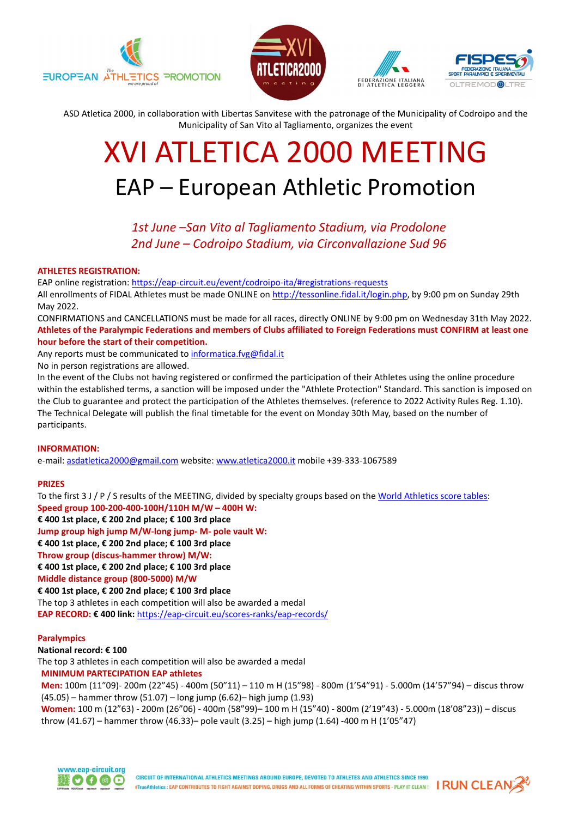







ASD Atletica 2000, in collaboration with Libertas Sanvitese with the patronage of the Municipality of Codroipo and the Municipality of San Vito al Tagliamento, organizes the event

# XVI ATLETICA 2000 MEETING EAP – European Athletic Promotion

1st June –San Vito al Tagliamento Stadium, via Prodolone 2nd June – Codroipo Stadium, via Circonvallazione Sud 96

#### ATHLETES REGISTRATION:

EAP online registration: https://eap-circuit.eu/event/codroipo-ita/#registrations-requests All enrollments of FIDAL Athletes must be made ONLINE on http://tessonline.fidal.it/login.php, by 9:00 pm on Sunday 29th

May 2022.

CONFIRMATIONS and CANCELLATIONS must be made for all races, directly ONLINE by 9:00 pm on Wednesday 31th May 2022. Athletes of the Paralympic Federations and members of Clubs affiliated to Foreign Federations must CONFIRM at least one hour before the start of their competition.

Any reports must be communicated to informatica.fvg@fidal.it

No in person registrations are allowed.

In the event of the Clubs not having registered or confirmed the participation of their Athletes using the online procedure within the established terms, a sanction will be imposed under the "Athlete Protection" Standard. This sanction is imposed on the Club to guarantee and protect the participation of the Athletes themselves. (reference to 2022 Activity Rules Reg. 1.10). The Technical Delegate will publish the final timetable for the event on Monday 30th May, based on the number of participants.

### INFORMATION:

e-mail: asdatletica2000@gmail.com website: www.atletica2000.it mobile +39-333-1067589

### PRIZES

To the first 3 J / P / S results of the MEETING, divided by specialty groups based on the World Athletics score tables: Speed group 100-200-400-100H/110H M/W – 400H W:

€ 400 1st place, € 200 2nd place; € 100 3rd place

Jump group high jump M/W-long jump- M- pole vault W:

€ 400 1st place, € 200 2nd place; € 100 3rd place

Throw group (discus-hammer throw) M/W:

€ 400 1st place, € 200 2nd place; € 100 3rd place

Middle distance group (800-5000) M/W

€ 400 1st place, € 200 2nd place; € 100 3rd place The top 3 athletes in each competition will also be awarded a medal EAP RECORD: € 400 link: https://eap-circuit.eu/scores-ranks/eap-records/

### Paralympics

National record: € 100 The top 3 athletes in each competition will also be awarded a medal MINIMUM PARTECIPATION EAP athletes

Men: 100m (11"09)- 200m (22"45) - 400m (50"11) – 110 m H (15"98) - 800m (1'54"91) - 5.000m (14'57"94) – discus throw (45.05) – hammer throw (51.07) – long jump (6.62)– high jump (1.93)

Women: 100 m (12"63) - 200m (26"06) - 400m (58"99)– 100 m H (15"40) - 800m (2'19"43) - 5.000m (18'08"23)) – discus throw (41.67) – hammer throw (46.33)– pole vault (3.25) – high jump (1.64) -400 m H (1'05"47)



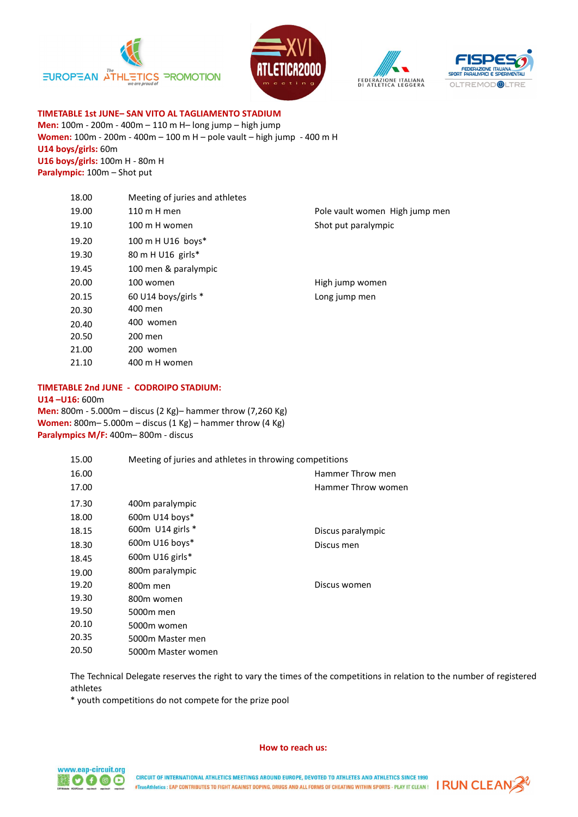







TIMETABLE 1st JUNE– SAN VITO AL TAGLIAMENTO STADIUM Men: 100m - 200m - 400m – 110 m H– long jump – high jump Women: 100m - 200m - 400m – 100 m H – pole vault – high jump - 400 m H U14 boys/girls: 60m U16 boys/girls: 100m H - 80m H Paralympic: 100m - Shot put

| 18.00 | Meeting of juries and athletes |                                |
|-------|--------------------------------|--------------------------------|
| 19.00 | 110 m H men                    | Pole vault women High jump men |
| 19.10 | 100 m H women                  | Shot put paralympic            |
| 19.20 | 100 m H U16 boys*              |                                |
| 19.30 | 80 m H U16 girls*              |                                |
| 19.45 | 100 men & paralympic           |                                |
| 20.00 | 100 women                      | High jump women                |
| 20.15 | 60 U14 boys/girls $*$          | Long jump men                  |
| 20.30 | 400 men                        |                                |
| 20.40 | 400 women                      |                                |
| 20.50 | 200 men                        |                                |
| 21.00 | 200 women                      |                                |
| 21.10 | 400 m H women                  |                                |
|       |                                |                                |

### TIMETABLE 2nd JUNE - CODROIPO STADIUM:

U14 –U16: 600m

Men: 800m - 5.000m – discus (2 Kg)– hammer throw (7,260 Kg) Women: 800m– 5.000m – discus (1 Kg) – hammer throw (4 Kg) Paralympics M/F: 400m– 800m - discus

| 15.00 | Meeting of juries and athletes in throwing competitions |                    |
|-------|---------------------------------------------------------|--------------------|
| 16.00 |                                                         | Hammer Throw men   |
| 17.00 |                                                         | Hammer Throw women |
| 17.30 | 400m paralympic                                         |                    |
| 18.00 | 600m U14 boys*                                          |                    |
| 18.15 | 600m U14 girls *                                        | Discus paralympic  |
| 18.30 | 600m U16 boys*                                          | Discus men         |
| 18.45 | 600 $m$ U16 girls*                                      |                    |
| 19.00 | 800m paralympic                                         |                    |
| 19.20 | 800m men                                                | Discus women       |
| 19.30 | 800m women                                              |                    |
| 19.50 | 5000m men                                               |                    |
| 20.10 | 5000m women                                             |                    |
| 20.35 | 5000m Master men                                        |                    |
| 20.50 | 5000m Master women                                      |                    |

The Technical Delegate reserves the right to vary the times of the competitions in relation to the number of registered athletes

\* youth competitions do not compete for the prize pool

#### How to reach us:



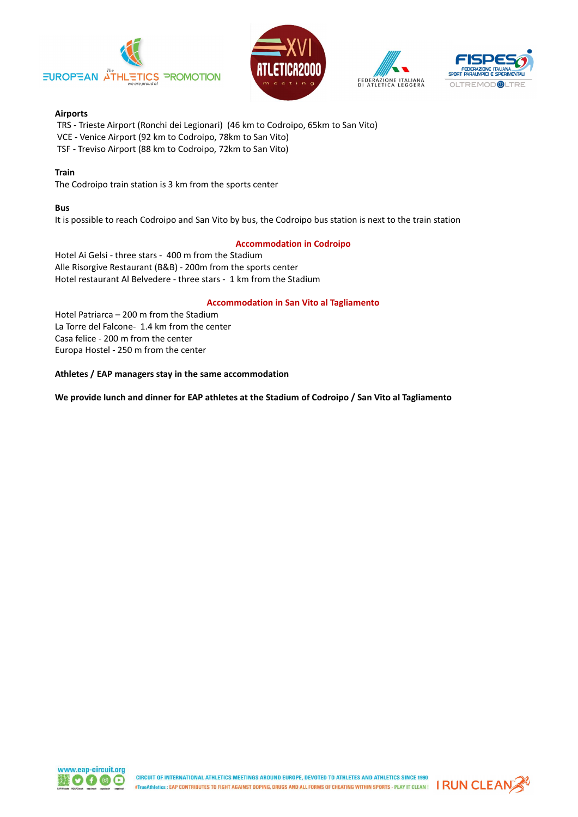







# Airports

TRS - Trieste Airport (Ronchi dei Legionari) (46 km to Codroipo, 65km to San Vito)

- VCE Venice Airport (92 km to Codroipo, 78km to San Vito)
- TSF Treviso Airport (88 km to Codroipo, 72km to San Vito)

# Train

The Codroipo train station is 3 km from the sports center

# Bus

It is possible to reach Codroipo and San Vito by bus, the Codroipo bus station is next to the train station

# Accommodation in Codroipo

Hotel Ai Gelsi - three stars - 400 m from the Stadium Alle Risorgive Restaurant (B&B) - 200m from the sports center Hotel restaurant Al Belvedere - three stars - 1 km from the Stadium

# Accommodation in San Vito al Tagliamento

Hotel Patriarca – 200 m from the Stadium La Torre del Falcone- 1.4 km from the center Casa felice - 200 m from the center Europa Hostel - 250 m from the center

Athletes / EAP managers stay in the same accommodation

We provide lunch and dinner for EAP athletes at the Stadium of Codroipo / San Vito al Tagliamento